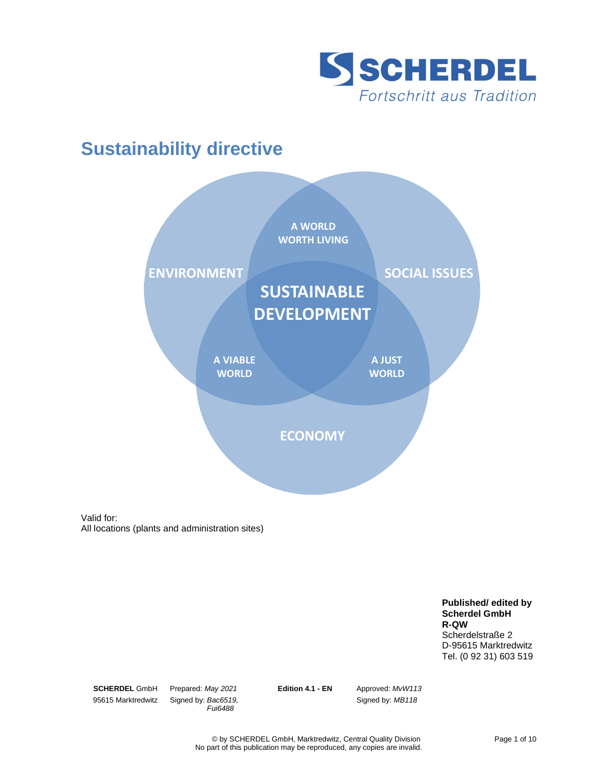

# **Sustainability directive**



Valid for: All locations (plants and administration sites)

> **Published/ edited by Scherdel GmbH R-QW**  Scherdelstraße 2 D-95615 Marktredwitz Tel. (0 92 31) 603 519

**SCHERDEL** GmbH 95615 Marktredwitz

Prepared: May 2021 Signed by: Bac6519, Fui6488

**Edition 4.1 - EN** Approved: MvW113

Signed by: MB118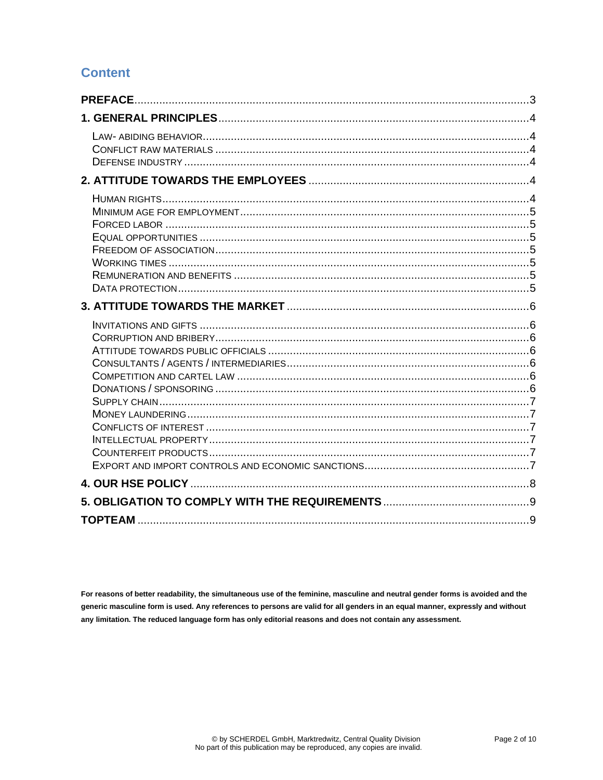### **Content**

For reasons of better readability, the simultaneous use of the feminine, masculine and neutral gender forms is avoided and the generic masculine form is used. Any references to persons are valid for all genders in an equal manner, expressly and without any limitation. The reduced language form has only editorial reasons and does not contain any assessment.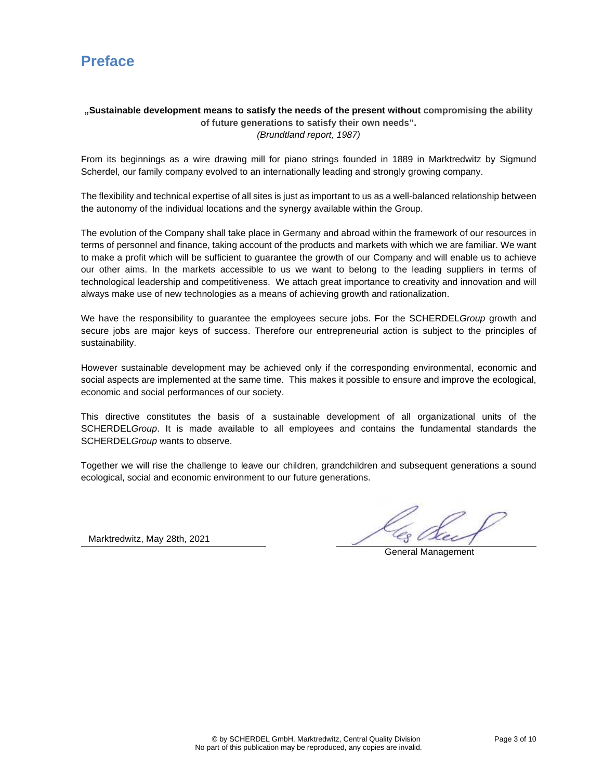## **Preface**

### **"Sustainable development means to satisfy the needs of the present without compromising the ability of future generations to satisfy their own needs".**

(Brundtland report, 1987)

From its beginnings as a wire drawing mill for piano strings founded in 1889 in Marktredwitz by Sigmund Scherdel, our family company evolved to an internationally leading and strongly growing company.

The flexibility and technical expertise of all sites is just as important to us as a well-balanced relationship between the autonomy of the individual locations and the synergy available within the Group.

The evolution of the Company shall take place in Germany and abroad within the framework of our resources in terms of personnel and finance, taking account of the products and markets with which we are familiar. We want to make a profit which will be sufficient to guarantee the growth of our Company and will enable us to achieve our other aims. In the markets accessible to us we want to belong to the leading suppliers in terms of technological leadership and competitiveness. We attach great importance to creativity and innovation and will always make use of new technologies as a means of achieving growth and rationalization.

We have the responsibility to guarantee the employees secure jobs. For the SCHERDELGroup growth and secure jobs are major keys of success. Therefore our entrepreneurial action is subject to the principles of sustainability.

However sustainable development may be achieved only if the corresponding environmental, economic and social aspects are implemented at the same time. This makes it possible to ensure and improve the ecological, economic and social performances of our society.

This directive constitutes the basis of a sustainable development of all organizational units of the SCHERDELGroup. It is made available to all employees and contains the fundamental standards the SCHERDELGroup wants to observe.

Together we will rise the challenge to leave our children, grandchildren and subsequent generations a sound ecological, social and economic environment to our future generations.

Marktredwitz, May 28th, 2021

General Management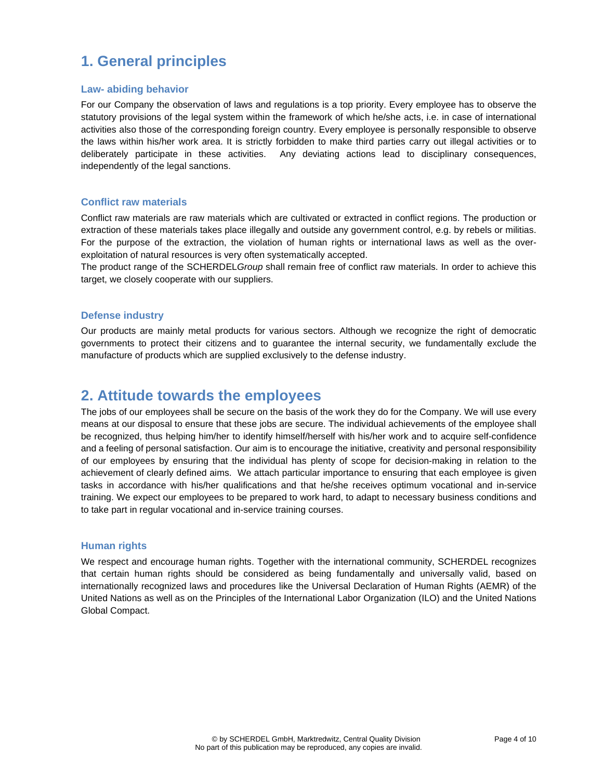# **1. General principles**

#### **Law- abiding behavior**

For our Company the observation of laws and regulations is a top priority. Every employee has to observe the statutory provisions of the legal system within the framework of which he/she acts, i.e. in case of international activities also those of the corresponding foreign country. Every employee is personally responsible to observe the laws within his/her work area. It is strictly forbidden to make third parties carry out illegal activities or to deliberately participate in these activities. Any deviating actions lead to disciplinary consequences, independently of the legal sanctions.

#### **Conflict raw materials**

Conflict raw materials are raw materials which are cultivated or extracted in conflict regions. The production or extraction of these materials takes place illegally and outside any government control, e.g. by rebels or militias. For the purpose of the extraction, the violation of human rights or international laws as well as the overexploitation of natural resources is very often systematically accepted.

The product range of the SCHERDELGroup shall remain free of conflict raw materials. In order to achieve this target, we closely cooperate with our suppliers.

#### **Defense industry**

Our products are mainly metal products for various sectors. Although we recognize the right of democratic governments to protect their citizens and to guarantee the internal security, we fundamentally exclude the manufacture of products which are supplied exclusively to the defense industry.

### **2. Attitude towards the employees**

The jobs of our employees shall be secure on the basis of the work they do for the Company. We will use every means at our disposal to ensure that these jobs are secure. The individual achievements of the employee shall be recognized, thus helping him/her to identify himself/herself with his/her work and to acquire self-confidence and a feeling of personal satisfaction. Our aim is to encourage the initiative, creativity and personal responsibility of our employees by ensuring that the individual has plenty of scope for decision-making in relation to the achievement of clearly defined aims. We attach particular importance to ensuring that each employee is given tasks in accordance with his/her qualifications and that he/she receives optimum vocational and in-service training. We expect our employees to be prepared to work hard, to adapt to necessary business conditions and to take part in regular vocational and in-service training courses.

#### **Human rights**

We respect and encourage human rights. Together with the international community, SCHERDEL recognizes that certain human rights should be considered as being fundamentally and universally valid, based on internationally recognized laws and procedures like the Universal Declaration of Human Rights (AEMR) of the United Nations as well as on the Principles of the International Labor Organization (ILO) and the United Nations Global Compact.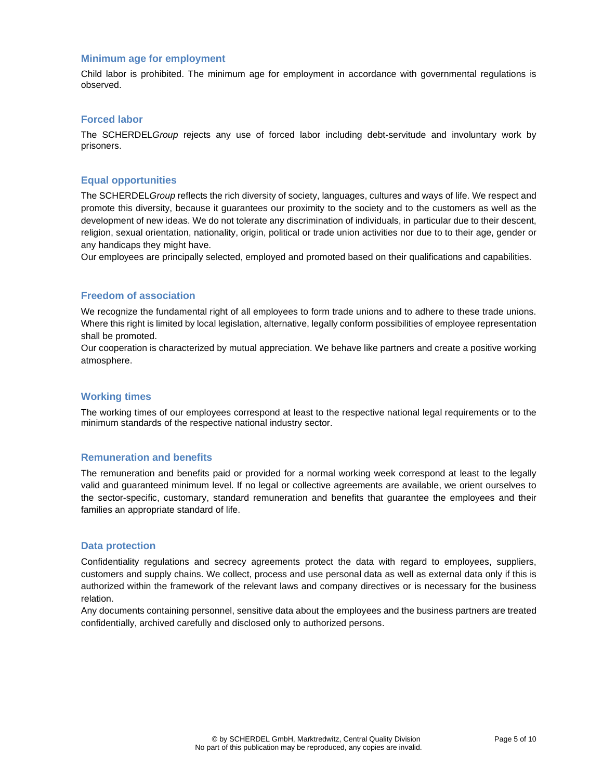#### **Minimum age for employment**

Child labor is prohibited. The minimum age for employment in accordance with governmental regulations is observed.

#### **Forced labor**

The SCHERDELGroup rejects any use of forced labor including debt-servitude and involuntary work by prisoners.

#### **Equal opportunities**

The SCHERDELGroup reflects the rich diversity of society, languages, cultures and ways of life. We respect and promote this diversity, because it guarantees our proximity to the society and to the customers as well as the development of new ideas. We do not tolerate any discrimination of individuals, in particular due to their descent, religion, sexual orientation, nationality, origin, political or trade union activities nor due to to their age, gender or any handicaps they might have.

Our employees are principally selected, employed and promoted based on their qualifications and capabilities.

#### **Freedom of association**

We recognize the fundamental right of all employees to form trade unions and to adhere to these trade unions. Where this right is limited by local legislation, alternative, legally conform possibilities of employee representation shall be promoted.

Our cooperation is characterized by mutual appreciation. We behave like partners and create a positive working atmosphere.

#### **Working times**

The working times of our employees correspond at least to the respective national legal requirements or to the minimum standards of the respective national industry sector.

#### **Remuneration and benefits**

The remuneration and benefits paid or provided for a normal working week correspond at least to the legally valid and guaranteed minimum level. If no legal or collective agreements are available, we orient ourselves to the sector-specific, customary, standard remuneration and benefits that guarantee the employees and their families an appropriate standard of life.

#### **Data protection**

Confidentiality regulations and secrecy agreements protect the data with regard to employees, suppliers, customers and supply chains. We collect, process and use personal data as well as external data only if this is authorized within the framework of the relevant laws and company directives or is necessary for the business relation.

Any documents containing personnel, sensitive data about the employees and the business partners are treated confidentially, archived carefully and disclosed only to authorized persons.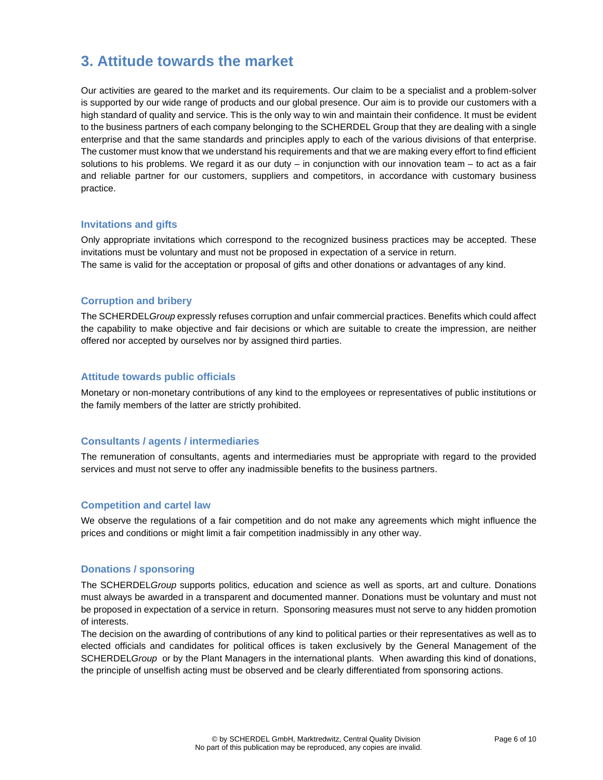### **3. Attitude towards the market**

Our activities are geared to the market and its requirements. Our claim to be a specialist and a problem-solver is supported by our wide range of products and our global presence. Our aim is to provide our customers with a high standard of quality and service. This is the only way to win and maintain their confidence. It must be evident to the business partners of each company belonging to the SCHERDEL Group that they are dealing with a single enterprise and that the same standards and principles apply to each of the various divisions of that enterprise. The customer must know that we understand his requirements and that we are making every effort to find efficient solutions to his problems. We regard it as our duty  $-$  in conjunction with our innovation team  $-$  to act as a fair and reliable partner for our customers, suppliers and competitors, in accordance with customary business practice.

#### **Invitations and gifts**

Only appropriate invitations which correspond to the recognized business practices may be accepted. These invitations must be voluntary and must not be proposed in expectation of a service in return. The same is valid for the acceptation or proposal of gifts and other donations or advantages of any kind.

#### **Corruption and bribery**

The SCHERDELGroup expressly refuses corruption and unfair commercial practices. Benefits which could affect the capability to make objective and fair decisions or which are suitable to create the impression, are neither offered nor accepted by ourselves nor by assigned third parties.

#### **Attitude towards public officials**

Monetary or non-monetary contributions of any kind to the employees or representatives of public institutions or the family members of the latter are strictly prohibited.

#### **Consultants / agents / intermediaries**

The remuneration of consultants, agents and intermediaries must be appropriate with regard to the provided services and must not serve to offer any inadmissible benefits to the business partners.

#### **Competition and cartel law**

We observe the regulations of a fair competition and do not make any agreements which might influence the prices and conditions or might limit a fair competition inadmissibly in any other way.

#### **Donations / sponsoring**

The SCHERDELGroup supports politics, education and science as well as sports, art and culture. Donations must always be awarded in a transparent and documented manner. Donations must be voluntary and must not be proposed in expectation of a service in return. Sponsoring measures must not serve to any hidden promotion of interests.

The decision on the awarding of contributions of any kind to political parties or their representatives as well as to elected officials and candidates for political offices is taken exclusively by the General Management of the SCHERDELGroup or by the Plant Managers in the international plants. When awarding this kind of donations, the principle of unselfish acting must be observed and be clearly differentiated from sponsoring actions.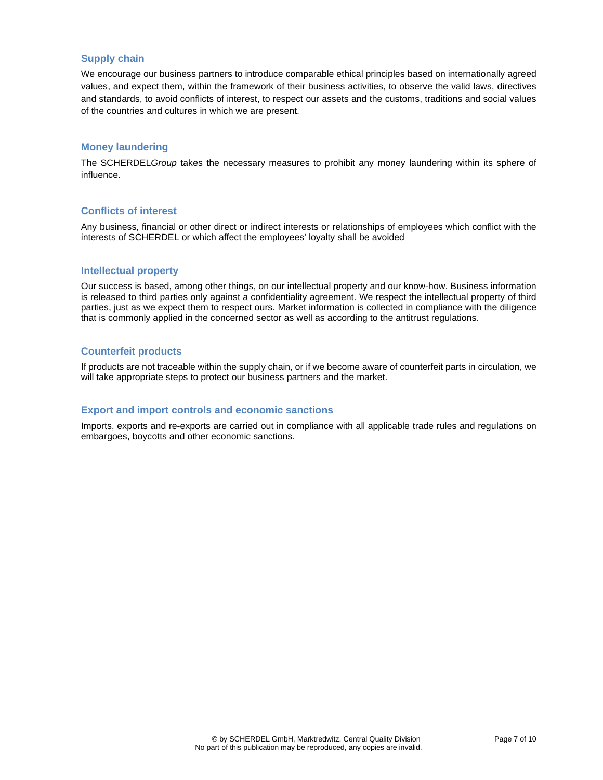#### **Supply chain**

We encourage our business partners to introduce comparable ethical principles based on internationally agreed values, and expect them, within the framework of their business activities, to observe the valid laws, directives and standards, to avoid conflicts of interest, to respect our assets and the customs, traditions and social values of the countries and cultures in which we are present.

#### **Money laundering**

The SCHERDELGroup takes the necessary measures to prohibit any money laundering within its sphere of influence.

#### **Conflicts of interest**

Any business, financial or other direct or indirect interests or relationships of employees which conflict with the interests of SCHERDEL or which affect the employees' loyalty shall be avoided

#### **Intellectual property**

Our success is based, among other things, on our intellectual property and our know-how. Business information is released to third parties only against a confidentiality agreement. We respect the intellectual property of third parties, just as we expect them to respect ours. Market information is collected in compliance with the diligence that is commonly applied in the concerned sector as well as according to the antitrust regulations.

#### **Counterfeit products**

If products are not traceable within the supply chain, or if we become aware of counterfeit parts in circulation, we will take appropriate steps to protect our business partners and the market.

#### **Export and import controls and economic sanctions**

Imports, exports and re-exports are carried out in compliance with all applicable trade rules and regulations on embargoes, boycotts and other economic sanctions.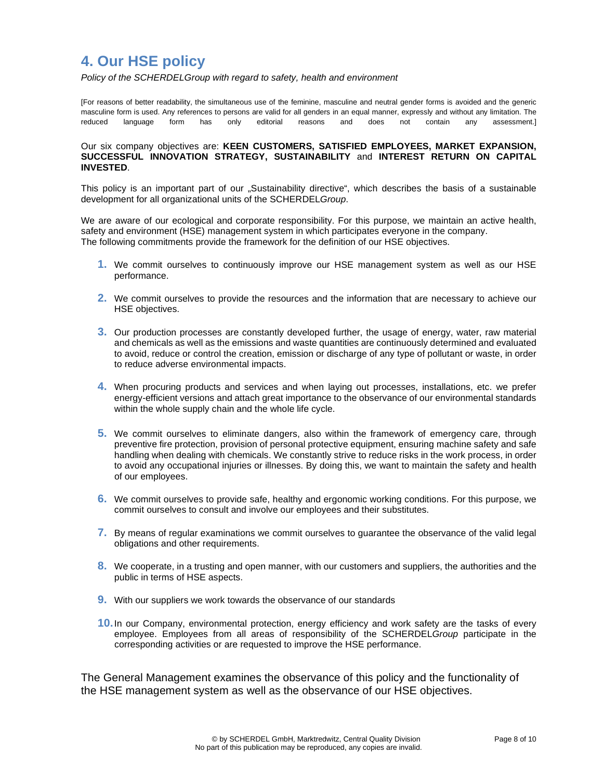### **4. Our HSE policy**

Policy of the SCHERDELGroup with regard to safety, health and environment

[For reasons of better readability, the simultaneous use of the feminine, masculine and neutral gender forms is avoided and the generic masculine form is used. Any references to persons are valid for all genders in an equal manner, expressly and without any limitation. The reduced language form has only editorial reasons and does not contain any assessment.]

#### Our six company objectives are: **KEEN CUSTOMERS, SATISFIED EMPLOYEES, MARKET EXPANSION, SUCCESSFUL INNOVATION STRATEGY, SUSTAINABILITY** and **INTEREST RETURN ON CAPITAL INVESTED**.

This policy is an important part of our "Sustainability directive", which describes the basis of a sustainable development for all organizational units of the SCHERDELGroup.

We are aware of our ecological and corporate responsibility. For this purpose, we maintain an active health, safety and environment (HSE) management system in which participates everyone in the company. The following commitments provide the framework for the definition of our HSE objectives.

- **1.** We commit ourselves to continuously improve our HSE management system as well as our HSE performance.
- **2.** We commit ourselves to provide the resources and the information that are necessary to achieve our HSE objectives.
- **3.** Our production processes are constantly developed further, the usage of energy, water, raw material and chemicals as well as the emissions and waste quantities are continuously determined and evaluated to avoid, reduce or control the creation, emission or discharge of any type of pollutant or waste, in order to reduce adverse environmental impacts.
- **4.** When procuring products and services and when laying out processes, installations, etc. we prefer energy-efficient versions and attach great importance to the observance of our environmental standards within the whole supply chain and the whole life cycle.
- **5.** We commit ourselves to eliminate dangers, also within the framework of emergency care, through preventive fire protection, provision of personal protective equipment, ensuring machine safety and safe handling when dealing with chemicals. We constantly strive to reduce risks in the work process, in order to avoid any occupational injuries or illnesses. By doing this, we want to maintain the safety and health of our employees.
- **6.** We commit ourselves to provide safe, healthy and ergonomic working conditions. For this purpose, we commit ourselves to consult and involve our employees and their substitutes.
- **7.** By means of regular examinations we commit ourselves to guarantee the observance of the valid legal obligations and other requirements.
- **8.** We cooperate, in a trusting and open manner, with our customers and suppliers, the authorities and the public in terms of HSE aspects.
- **9.** With our suppliers we work towards the observance of our standards
- **10.** In our Company, environmental protection, energy efficiency and work safety are the tasks of every employee. Employees from all areas of responsibility of the SCHERDELGroup participate in the corresponding activities or are requested to improve the HSE performance.

The General Management examines the observance of this policy and the functionality of the HSE management system as well as the observance of our HSE objectives.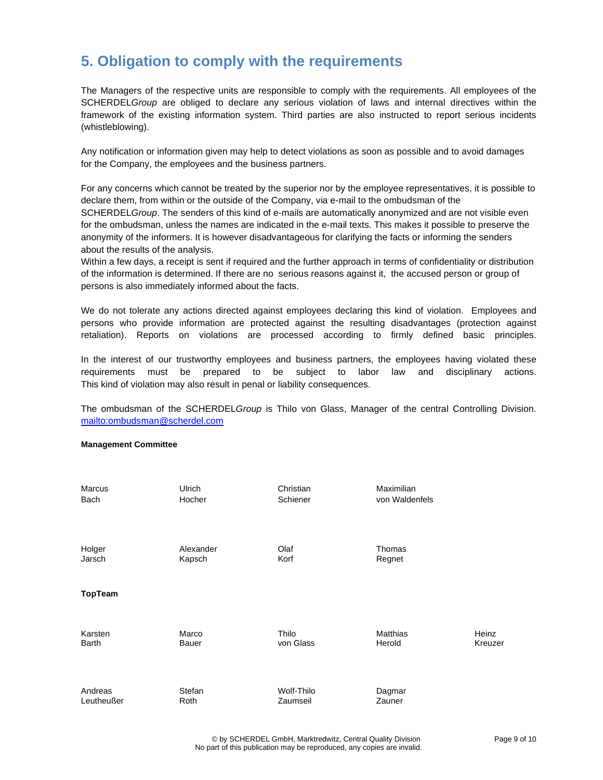### **5. Obligation to comply with the requirements**

The Managers of the respective units are responsible to comply with the requirements. All employees of the SCHERDELGroup are obliged to declare any serious violation of laws and internal directives within the framework of the existing information system. Third parties are also instructed to report serious incidents (whistleblowing).

Any notification or information given may help to detect violations as soon as possible and to avoid damages for the Company, the employees and the business partners.

For any concerns which cannot be treated by the superior nor by the employee representatives, it is possible to declare them, from within or the outside of the Company, via e-mail to the ombudsman of the SCHERDELGroup. The senders of this kind of e-mails are automatically anonymized and are not visible even for the ombudsman, unless the names are indicated in the e-mail texts. This makes it possible to preserve the anonymity of the informers. It is however disadvantageous for clarifying the facts or informing the senders about the results of the analysis.

Within a few days, a receipt is sent if required and the further approach in terms of confidentiality or distribution of the information is determined. If there are no serious reasons against it, the accused person or group of persons is also immediately informed about the facts.

We do not tolerate any actions directed against employees declaring this kind of violation. Employees and persons who provide information are protected against the resulting disadvantages (protection against retaliation). Reports on violations are processed according to firmly defined basic principles.

In the interest of our trustworthy employees and business partners, the employees having violated these requirements must be prepared to be subject to labor law and disciplinary actions. This kind of violation may also result in penal or liability consequences.

The ombudsman of the SCHERDELGroup is Thilo von Glass, Manager of the central Controlling Division. mailto:ombudsman@scherdel.com

#### **Management Committee**